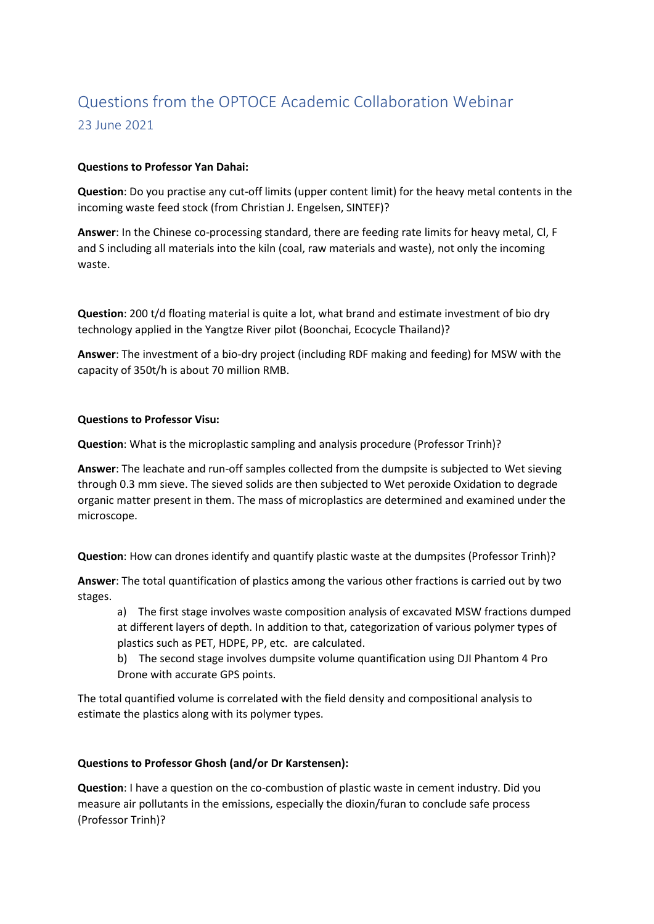# Questions from the OPTOCE Academic Collaboration Webinar 23 June 2021

## **Questions to Professor Yan Dahai:**

**Question**: Do you practise any cut-off limits (upper content limit) for the heavy metal contents in the incoming waste feed stock (from Christian J. Engelsen, SINTEF)?

**Answer**: In the Chinese co-processing standard, there are feeding rate limits for heavy metal, Cl, F and S including all materials into the kiln (coal, raw materials and waste), not only the incoming waste.

**Question**: 200 t/d floating material is quite a lot, what brand and estimate investment of bio dry technology applied in the Yangtze River pilot (Boonchai, Ecocycle Thailand)?

**Answer**: The investment of a bio-dry project (including RDF making and feeding) for MSW with the capacity of 350t/h is about 70 million RMB.

## **Questions to Professor Visu:**

**Question**: What is the microplastic sampling and analysis procedure (Professor Trinh)?

**Answer**: The leachate and run-off samples collected from the dumpsite is subjected to Wet sieving through 0.3 mm sieve. The sieved solids are then subjected to Wet peroxide Oxidation to degrade organic matter present in them. The mass of microplastics are determined and examined under the microscope.

**Question**: How can drones identify and quantify plastic waste at the dumpsites (Professor Trinh)?

**Answer**: The total quantification of plastics among the various other fractions is carried out by two stages.

a) The first stage involves waste composition analysis of excavated MSW fractions dumped at different layers of depth. In addition to that, categorization of various polymer types of plastics such as PET, HDPE, PP, etc. are calculated.

b) The second stage involves dumpsite volume quantification using DJI Phantom 4 Pro Drone with accurate GPS points.

The total quantified volume is correlated with the field density and compositional analysis to estimate the plastics along with its polymer types.

## **Questions to Professor Ghosh (and/or Dr Karstensen):**

**Question**: I have a question on the co-combustion of plastic waste in cement industry. Did you measure air pollutants in the emissions, especially the dioxin/furan to conclude safe process (Professor Trinh)?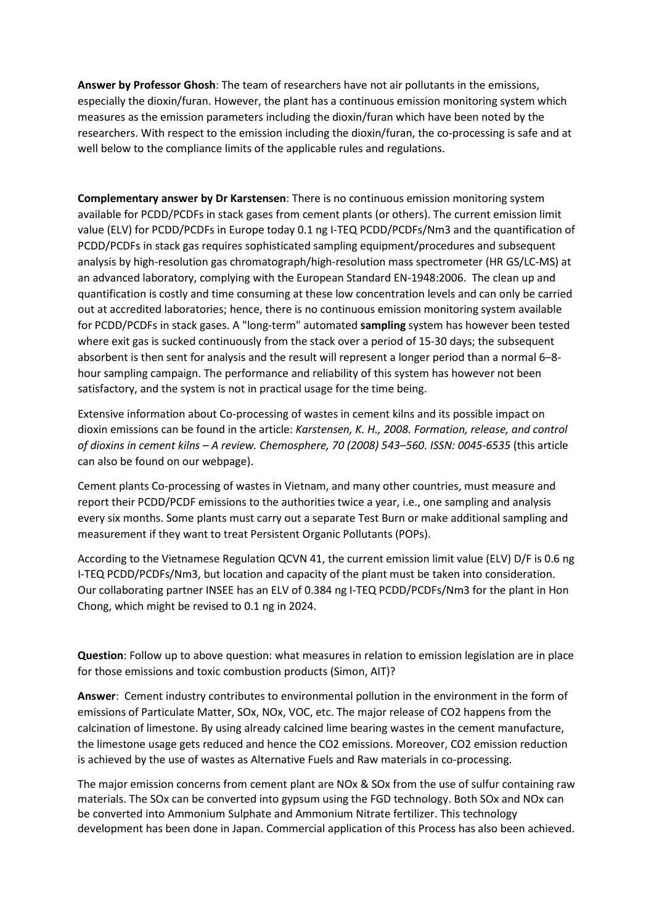**Answer by Professor Ghosh**: The team of researchers have not air pollutants in the emissions, especially the dioxin/furan. However, the plant has a continuous emission monitoring system which measures as the emission parameters including the dioxin/furan which have been noted by the researchers. With respect to the emission including the dioxin/furan, the co-processing is safe and at well below to the compliance limits of the applicable rules and regulations.

**Complementary answer by Dr Karstensen**: There is no continuous emission monitoring system available for PCDD/PCDFs in stack gases from cement plants (or others). The current emission limit value (ELV) for PCDD/PCDFs in Europe today 0.1 ng I-TEQ PCDD/PCDFs/Nm3 and the quantification of PCDD/PCDFs in stack gas requires sophisticated sampling equipment/procedures and subsequent analysis by high-resolution gas chromatograph/high-resolution mass spectrometer (HR GS/LC-MS) at an advanced laboratory, complying with the European Standard EN-1948:2006. The clean up and quantification is costly and time consuming at these low concentration levels and can only be carried out at accredited laboratories; hence, there is no continuous emission monitoring system available for PCDD/PCDFs in stack gases. A "long-term" automated **sampling** system has however been tested where exit gas is sucked continuously from the stack over a period of 15-30 days; the subsequent absorbent is then sent for analysis and the result will represent a longer period than a normal 6–8 hour sampling campaign. The performance and reliability of this system has however not been satisfactory, and the system is not in practical usage for the time being.

Extensive information about Co-processing of wastes in cement kilns and its possible impact on dioxin emissions can be found in the article: *Karstensen, K. H., 2008. Formation, release, and control of dioxins in cement kilns – A review. Chemosphere, 70 (2008) 543–560. ISSN: 0045-6535* (this article can also be found on our webpage).

Cement plants Co-processing of wastes in Vietnam, and many other countries, must measure and report their PCDD/PCDF emissions to the authorities twice a year, i.e., one sampling and analysis every six months. Some plants must carry out a separate Test Burn or make additional sampling and measurement if they want to treat Persistent Organic Pollutants (POPs).

According to the Vietnamese Regulation QCVN 41, the current emission limit value (ELV) D/F is 0.6 ng I-TEQ PCDD/PCDFs/Nm3, but location and capacity of the plant must be taken into consideration. Our collaborating partner INSEE has an ELV of 0.384 ng I-TEQ PCDD/PCDFs/Nm3 for the plant in Hon Chong, which might be revised to 0.1 ng in 2024.

**Question**: Follow up to above question: what measures in relation to emission legislation are in place for those emissions and toxic combustion products (Simon, AIT)?

**Answer**: Cement industry contributes to environmental pollution in the environment in the form of emissions of Particulate Matter, SOx, NOx, VOC, etc. The major release of CO2 happens from the calcination of limestone. By using already calcined lime bearing wastes in the cement manufacture, the limestone usage gets reduced and hence the CO2 emissions. Moreover, CO2 emission reduction is achieved by the use of wastes as Alternative Fuels and Raw materials in co-processing.

The major emission concerns from cement plant are NOx & SOx from the use of sulfur containing raw materials. The SOx can be converted into gypsum using the FGD technology. Both SOx and NOx can be converted into Ammonium Sulphate and Ammonium Nitrate fertilizer. This technology development has been done in Japan. Commercial application of this Process has also been achieved.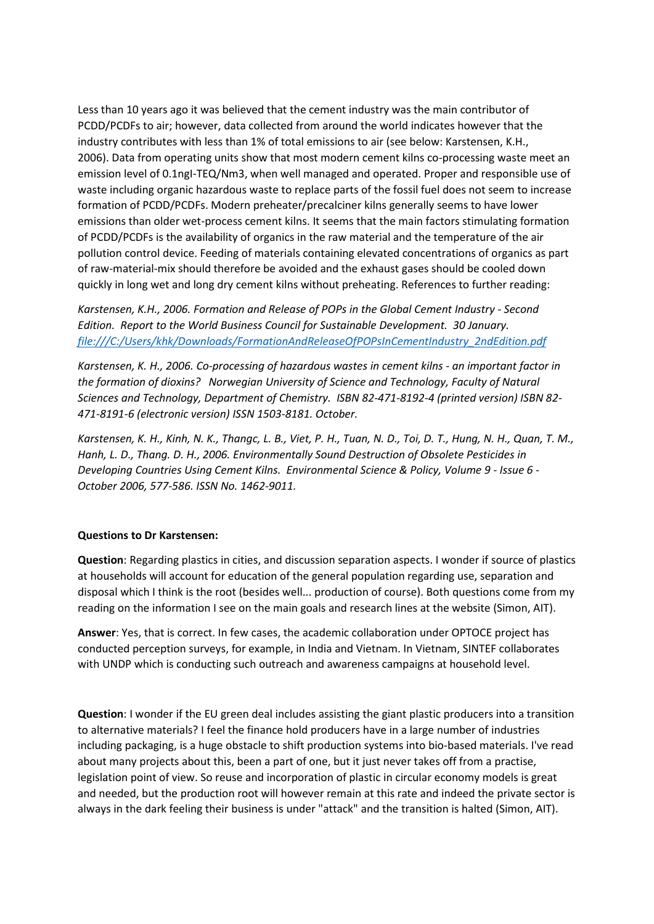Less than 10 years ago it was believed that the cement industry was the main contributor of PCDD/PCDFs to air; however, data collected from around the world indicates however that the industry contributes with less than 1% of total emissions to air (see below: Karstensen, K.H., 2006). Data from operating units show that most modern cement kilns co-processing waste meet an emission level of 0.1ngI-TEQ/Nm3, when well managed and operated. Proper and responsible use of waste including organic hazardous waste to replace parts of the fossil fuel does not seem to increase formation of PCDD/PCDFs. Modern preheater/precalciner kilns generally seems to have lower emissions than older wet-process cement kilns. It seems that the main factors stimulating formation of PCDD/PCDFs is the availability of organics in the raw material and the temperature of the air pollution control device. Feeding of materials containing elevated concentrations of organics as part of raw-material-mix should therefore be avoided and the exhaust gases should be cooled down quickly in long wet and long dry cement kilns without preheating. References to further reading:

*Karstensen, K.H., 2006. Formation and Release of POPs in the Global Cement Industry - Second Edition. Report to the World Business Council for Sustainable Development. 30 January. file:///C:/Users/khk/Downloads/FormationAndReleaseOfPOPsInCementIndustry\_2ndEdition.pdf*

*Karstensen, K. H., 2006. Co-processing of hazardous wastes in cement kilns - an important factor in the formation of dioxins? Norwegian University of Science and Technology, Faculty of Natural Sciences and Technology, Department of Chemistry. ISBN 82-471-8192-4 (printed version) ISBN 82- 471-8191-6 (electronic version) ISSN 1503-8181. October.*

*Karstensen, K. H., Kinh, N. K., Thangc, L. B., Viet, P. H., Tuan, N. D., Toi, D. T., Hung, N. H., Quan, T. M., Hanh, L. D., Thang. D. H., 2006. Environmentally Sound Destruction of Obsolete Pesticides in Developing Countries Using Cement Kilns. Environmental Science & Policy, Volume 9 - Issue 6 - October 2006, 577-586. ISSN No. 1462-9011.*

## **Questions to Dr Karstensen:**

**Question**: Regarding plastics in cities, and discussion separation aspects. I wonder if source of plastics at households will account for education of the general population regarding use, separation and disposal which I think is the root (besides well... production of course). Both questions come from my reading on the information I see on the main goals and research lines at the website (Simon, AIT).

**Answer**: Yes, that is correct. In few cases, the academic collaboration under OPTOCE project has conducted perception surveys, for example, in India and Vietnam. In Vietnam, SINTEF collaborates with UNDP which is conducting such outreach and awareness campaigns at household level.

**Question**: I wonder if the EU green deal includes assisting the giant plastic producers into a transition to alternative materials? I feel the finance hold producers have in a large number of industries including packaging, is a huge obstacle to shift production systems into bio-based materials. I've read about many projects about this, been a part of one, but it just never takes off from a practise, legislation point of view. So reuse and incorporation of plastic in circular economy models is great and needed, but the production root will however remain at this rate and indeed the private sector is always in the dark feeling their business is under "attack" and the transition is halted (Simon, AIT).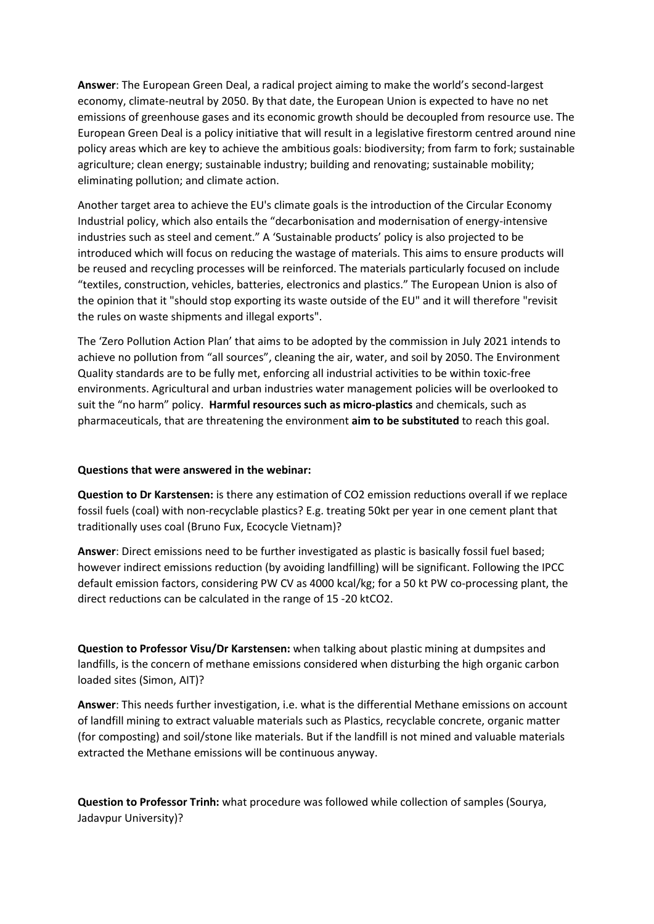**Answer**: The European Green Deal, a radical project aiming to make the world's second-largest economy, climate-neutral by 2050. By that date, the European Union is expected to have no net emissions of greenhouse gases and its economic growth should be decoupled from resource use. The European Green Deal is a policy initiative that will result in a legislative firestorm centred around nine policy areas which are key to achieve the ambitious goals: biodiversity; from farm to fork; sustainable agriculture; clean energy; sustainable industry; building and renovating; sustainable mobility; eliminating pollution; and climate action.

Another target area to achieve the EU's climate goals is the introduction of the Circular Economy Industrial policy, which also entails the "decarbonisation and modernisation of energy-intensive industries such as steel and cement." A 'Sustainable products' policy is also projected to be introduced which will focus on reducing the wastage of materials. This aims to ensure products will be reused and recycling processes will be reinforced. The materials particularly focused on include "textiles, construction, vehicles, batteries, electronics and plastics." The European Union is also of the opinion that it "should stop exporting its waste outside of the EU" and it will therefore "revisit the rules on waste shipments and illegal exports".

The 'Zero Pollution Action Plan' that aims to be adopted by the commission in July 2021 intends to achieve no pollution from "all sources", cleaning the air, water, and soil by 2050. The Environment Quality standards are to be fully met, enforcing all industrial activities to be within toxic-free environments. Agricultural and urban industries water management policies will be overlooked to suit the "no harm" policy. **Harmful resources such as micro-plastics** and chemicals, such as pharmaceuticals, that are threatening the environment **aim to be substituted** to reach this goal.

## **Questions that were answered in the webinar:**

**Question to Dr Karstensen:** is there any estimation of CO2 emission reductions overall if we replace fossil fuels (coal) with non-recyclable plastics? E.g. treating 50kt per year in one cement plant that traditionally uses coal (Bruno Fux, Ecocycle Vietnam)?

**Answer**: Direct emissions need to be further investigated as plastic is basically fossil fuel based; however indirect emissions reduction (by avoiding landfilling) will be significant. Following the IPCC default emission factors, considering PW CV as 4000 kcal/kg; for a 50 kt PW co-processing plant, the direct reductions can be calculated in the range of 15 -20 ktCO2.

**Question to Professor Visu/Dr Karstensen:** when talking about plastic mining at dumpsites and landfills, is the concern of methane emissions considered when disturbing the high organic carbon loaded sites (Simon, AIT)?

**Answer**: This needs further investigation, i.e. what is the differential Methane emissions on account of landfill mining to extract valuable materials such as Plastics, recyclable concrete, organic matter (for composting) and soil/stone like materials. But if the landfill is not mined and valuable materials extracted the Methane emissions will be continuous anyway.

**Question to Professor Trinh:** what procedure was followed while collection of samples (Sourya, Jadavpur University)?